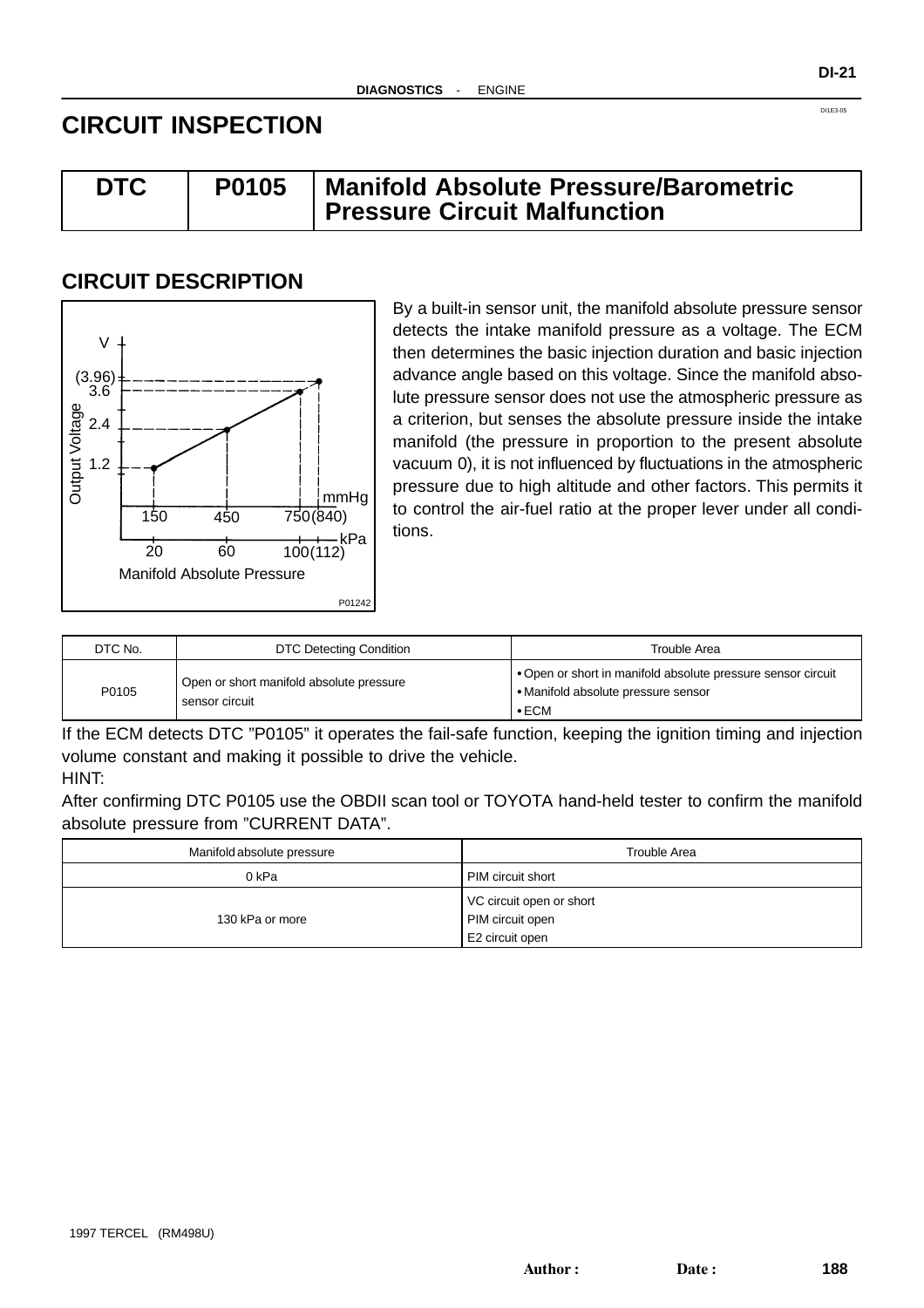# **CIRCUIT INSPECTION**

| <b>DTC</b> | P0105 | Manifold Absolute Pressure/Barometric |  |
|------------|-------|---------------------------------------|--|
|            |       | <b>Pressure Circuit Malfunction</b>   |  |

# **CIRCUIT DESCRIPTION**



By a built-in sensor unit, the manifold absolute pressure sensor detects the intake manifold pressure as a voltage. The ECM then determines the basic injection duration and basic injection advance angle based on this voltage. Since the manifold absolute pressure sensor does not use the atmospheric pressure as a criterion, but senses the absolute pressure inside the intake manifold (the pressure in proportion to the present absolute vacuum 0), it is not influenced by fluctuations in the atmospheric pressure due to high altitude and other factors. This permits it to control the air-fuel ratio at the proper lever under all conditions.

| DTC No. | DTC Detecting Condition                                    | Trouble Area                                                                                                       |
|---------|------------------------------------------------------------|--------------------------------------------------------------------------------------------------------------------|
| P0105   | Open or short manifold absolute pressure<br>sensor circuit | • Open or short in manifold absolute pressure sensor circuit<br>• Manifold absolute pressure sensor<br>$\cdot$ ECM |

If the ECM detects DTC "P0105" it operates the fail-safe function, keeping the ignition timing and injection volume constant and making it possible to drive the vehicle.

### HINT:

After confirming DTC P0105 use the OBDII scan tool or TOYOTA hand-held tester to confirm the manifold absolute pressure from "CURRENT DATA".

| Manifold absolute pressure | Trouble Area                                                    |
|----------------------------|-----------------------------------------------------------------|
| 0 kPa                      | PIM circuit short                                               |
| 130 kPa or more            | VC circuit open or short<br>PIM circuit open<br>E2 circuit open |

DI1E3-05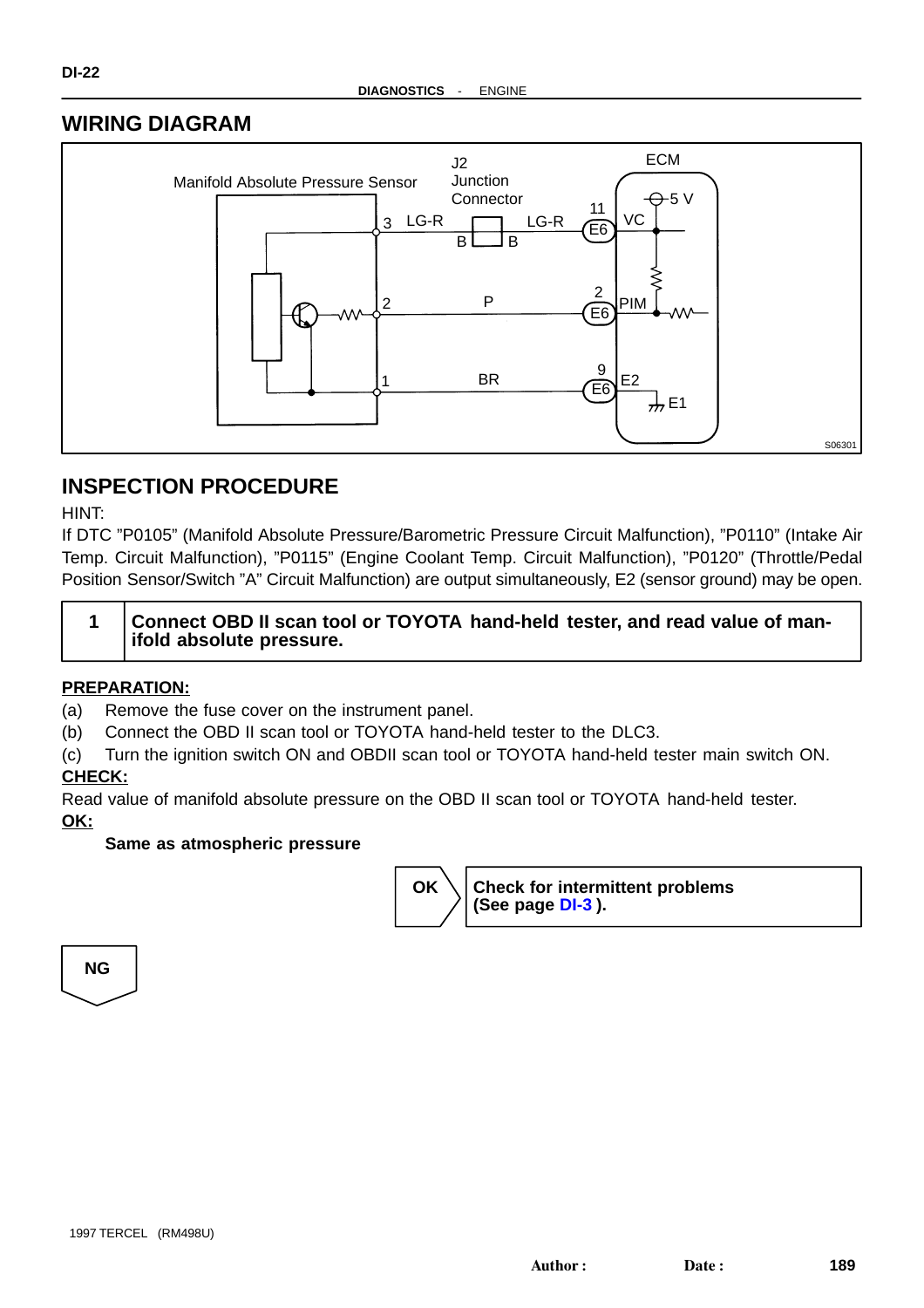## **WIRING DIAGRAM**



# **INSPECTION PROCEDURE**

HINT:

If DTC "P0105" (Manifold Absolute Pressure/Barometric Pressure Circuit Malfunction), "P0110" (Intake Air Temp. Circuit Malfunction), "P0115" (Engine Coolant Temp. Circuit Malfunction), "P0120" (Throttle/Pedal Position Sensor/Switch "A" Circuit Malfunction) are output simultaneously, E2 (sensor ground) may be open.

| Connect OBD II scan tool or TOYOTA hand-held tester, and read value of man- |
|-----------------------------------------------------------------------------|
| ifold absolute pressure.                                                    |

### **PREPARATION:**

- (a) Remove the fuse cover on the instrument panel.
- (b) Connect the OBD II scan tool or TOYOTA hand-held tester to the DLC3.
- (c) Turn the ignition switch ON and OBDII scan tool or TOYOTA hand-held tester main switch ON.

### **CHECK:**

Read value of manifold absolute pressure on the OBD II scan tool or TOYOTA hand-held tester. **OK:**

### **Same as atmospheric pressure**



**NG**